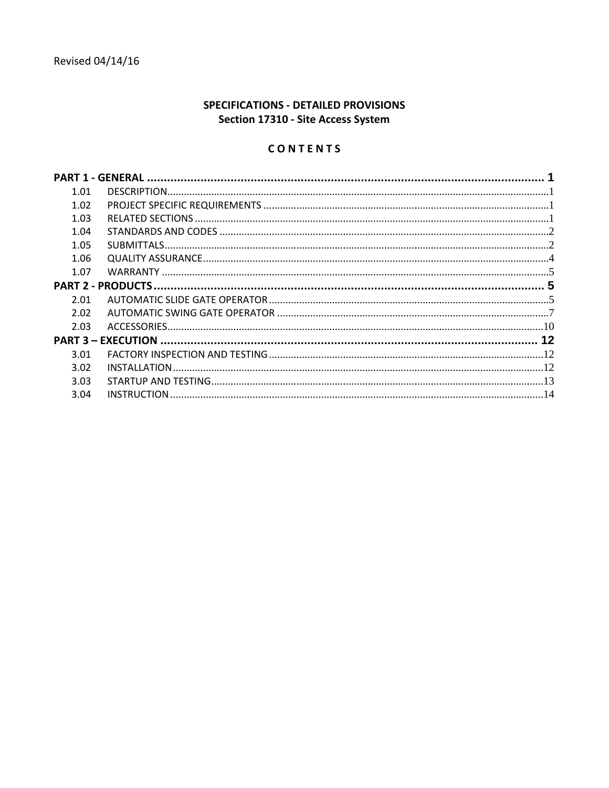# SPECIFICATIONS - DETAILED PROVISIONS Section 17310 - Site Access System

# CONTENTS

| 1.01 |  |
|------|--|
| 1.02 |  |
| 1.03 |  |
| 1.04 |  |
| 1.05 |  |
| 1.06 |  |
| 1.07 |  |
|      |  |
| 2.01 |  |
| 2.02 |  |
| 2.03 |  |
|      |  |
| 3.01 |  |
| 3.02 |  |
| 3.03 |  |
| 3.04 |  |
|      |  |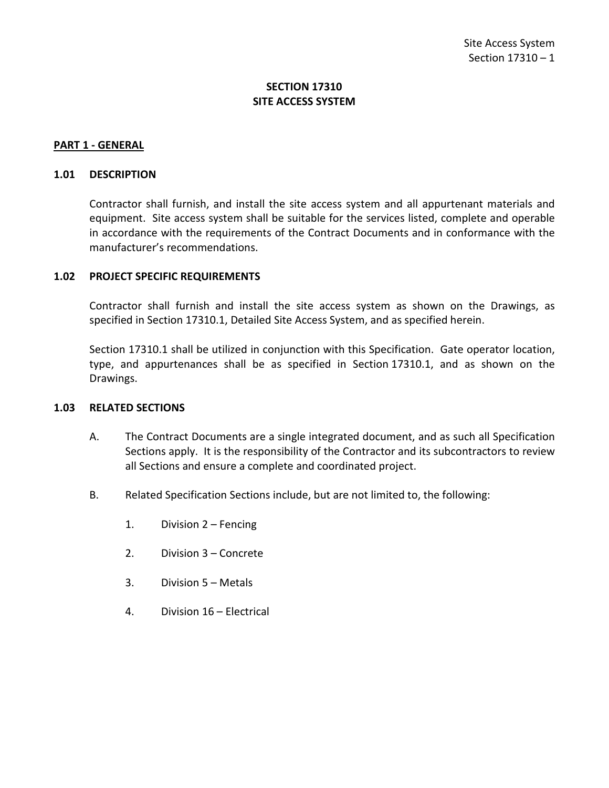# **SECTION 17310 SITE ACCESS SYSTEM**

#### <span id="page-2-0"></span>**PART 1 - GENERAL**

#### <span id="page-2-1"></span>**1.01 DESCRIPTION**

Contractor shall furnish, and install the site access system and all appurtenant materials and equipment. Site access system shall be suitable for the services listed, complete and operable in accordance with the requirements of the Contract Documents and in conformance with the manufacturer's recommendations.

#### <span id="page-2-2"></span>**1.02 PROJECT SPECIFIC REQUIREMENTS**

Contractor shall furnish and install the site access system as shown on the Drawings, as specified in Section 17310.1, Detailed Site Access System, and as specified herein.

Section 17310.1 shall be utilized in conjunction with this Specification. Gate operator location, type, and appurtenances shall be as specified in Section 17310.1, and as shown on the Drawings.

#### <span id="page-2-3"></span>**1.03 RELATED SECTIONS**

- A. The Contract Documents are a single integrated document, and as such all Specification Sections apply. It is the responsibility of the Contractor and its subcontractors to review all Sections and ensure a complete and coordinated project.
- B. Related Specification Sections include, but are not limited to, the following:
	- 1. Division 2 Fencing
	- 2. Division 3 Concrete
	- 3. Division 5 Metals
	- 4. Division 16 Electrical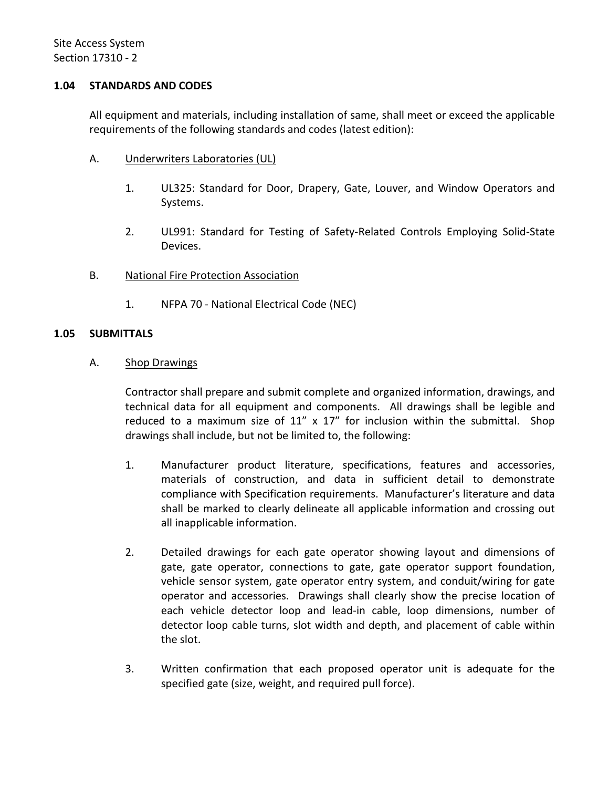### <span id="page-3-0"></span>**1.04 STANDARDS AND CODES**

All equipment and materials, including installation of same, shall meet or exceed the applicable requirements of the following standards and codes (latest edition):

- A. Underwriters Laboratories (UL)
	- 1. UL325: Standard for Door, Drapery, Gate, Louver, and Window Operators and Systems.
	- 2. UL991: Standard for Testing of Safety-Related Controls Employing Solid-State Devices.
- B. National Fire Protection Association
	- 1. NFPA 70 National Electrical Code (NEC)

### <span id="page-3-1"></span>**1.05 SUBMITTALS**

A. Shop Drawings

Contractor shall prepare and submit complete and organized information, drawings, and technical data for all equipment and components. All drawings shall be legible and reduced to a maximum size of  $11''$  x  $17''$  for inclusion within the submittal. Shop drawings shall include, but not be limited to, the following:

- 1. Manufacturer product literature, specifications, features and accessories, materials of construction, and data in sufficient detail to demonstrate compliance with Specification requirements. Manufacturer's literature and data shall be marked to clearly delineate all applicable information and crossing out all inapplicable information.
- 2. Detailed drawings for each gate operator showing layout and dimensions of gate, gate operator, connections to gate, gate operator support foundation, vehicle sensor system, gate operator entry system, and conduit/wiring for gate operator and accessories. Drawings shall clearly show the precise location of each vehicle detector loop and lead-in cable, loop dimensions, number of detector loop cable turns, slot width and depth, and placement of cable within the slot.
- 3. Written confirmation that each proposed operator unit is adequate for the specified gate (size, weight, and required pull force).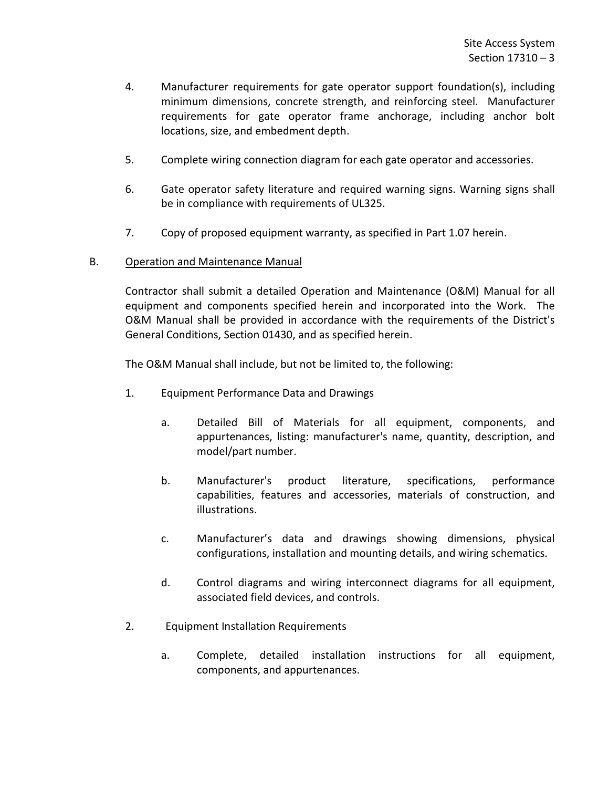- 4. Manufacturer requirements for gate operator support foundation(s), including minimum dimensions, concrete strength, and reinforcing steel. Manufacturer requirements for gate operator frame anchorage, including anchor bolt locations, size, and embedment depth.
- 5. Complete wiring connection diagram for each gate operator and accessories.
- 6. Gate operator safety literature and required warning signs. Warning signs shall be in compliance with requirements of UL325.
- 7. Copy of proposed equipment warranty, as specified in Part 1.07 herein.
- B. Operation and Maintenance Manual

Contractor shall submit a detailed Operation and Maintenance (O&M) Manual for all equipment and components specified herein and incorporated into the Work. The O&M Manual shall be provided in accordance with the requirements of the District's General Conditions, Section 01430, and as specified herein.

The O&M Manual shall include, but not be limited to, the following:

- 1. Equipment Performance Data and Drawings
	- a. Detailed Bill of Materials for all equipment, components, and appurtenances, listing: manufacturer's name, quantity, description, and model/part number.
	- b. Manufacturer's product literature, specifications, performance capabilities, features and accessories, materials of construction, and illustrations.
	- c. Manufacturer's data and drawings showing dimensions, physical configurations, installation and mounting details, and wiring schematics.
	- d. Control diagrams and wiring interconnect diagrams for all equipment, associated field devices, and controls.
- 2. Equipment Installation Requirements
	- a. Complete, detailed installation instructions for all equipment, components, and appurtenances.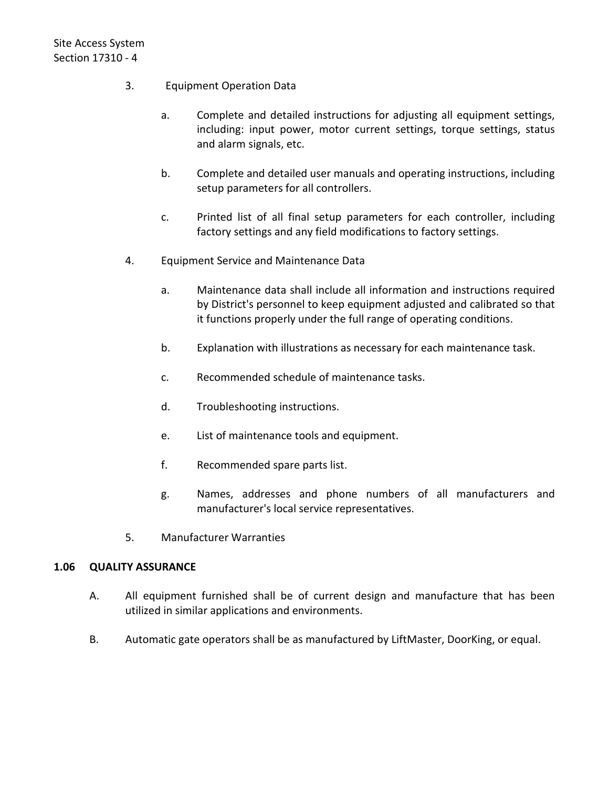- 3. Equipment Operation Data
	- a. Complete and detailed instructions for adjusting all equipment settings, including: input power, motor current settings, torque settings, status and alarm signals, etc.
	- b. Complete and detailed user manuals and operating instructions, including setup parameters for all controllers.
	- c. Printed list of all final setup parameters for each controller, including factory settings and any field modifications to factory settings.
- 4. Equipment Service and Maintenance Data
	- a. Maintenance data shall include all information and instructions required by District's personnel to keep equipment adjusted and calibrated so that it functions properly under the full range of operating conditions.
	- b. Explanation with illustrations as necessary for each maintenance task.
	- c. Recommended schedule of maintenance tasks.
	- d. Troubleshooting instructions.
	- e. List of maintenance tools and equipment.
	- f. Recommended spare parts list.
	- g. Names, addresses and phone numbers of all manufacturers and manufacturer's local service representatives.
- 5. Manufacturer Warranties

#### <span id="page-5-0"></span>**1.06 QUALITY ASSURANCE**

- A. All equipment furnished shall be of current design and manufacture that has been utilized in similar applications and environments.
- B. Automatic gate operators shall be as manufactured by LiftMaster, DoorKing, or equal.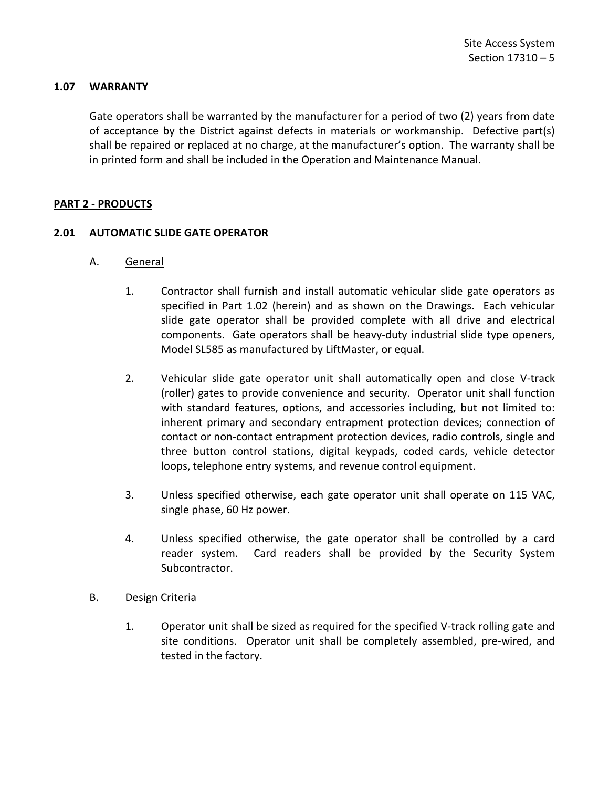### <span id="page-6-0"></span>**1.07 WARRANTY**

Gate operators shall be warranted by the manufacturer for a period of two (2) years from date of acceptance by the District against defects in materials or workmanship. Defective part(s) shall be repaired or replaced at no charge, at the manufacturer's option. The warranty shall be in printed form and shall be included in the Operation and Maintenance Manual.

### <span id="page-6-1"></span>**PART 2 - PRODUCTS**

### <span id="page-6-2"></span>**2.01 AUTOMATIC SLIDE GATE OPERATOR**

- A. General
	- 1. Contractor shall furnish and install automatic vehicular slide gate operators as specified in Part 1.02 (herein) and as shown on the Drawings. Each vehicular slide gate operator shall be provided complete with all drive and electrical components. Gate operators shall be heavy-duty industrial slide type openers, Model SL585 as manufactured by LiftMaster, or equal.
	- 2. Vehicular slide gate operator unit shall automatically open and close V-track (roller) gates to provide convenience and security. Operator unit shall function with standard features, options, and accessories including, but not limited to: inherent primary and secondary entrapment protection devices; connection of contact or non-contact entrapment protection devices, radio controls, single and three button control stations, digital keypads, coded cards, vehicle detector loops, telephone entry systems, and revenue control equipment.
	- 3. Unless specified otherwise, each gate operator unit shall operate on 115 VAC, single phase, 60 Hz power.
	- 4. Unless specified otherwise, the gate operator shall be controlled by a card reader system. Card readers shall be provided by the Security System Subcontractor.
- B. Design Criteria
	- 1. Operator unit shall be sized as required for the specified V-track rolling gate and site conditions. Operator unit shall be completely assembled, pre-wired, and tested in the factory.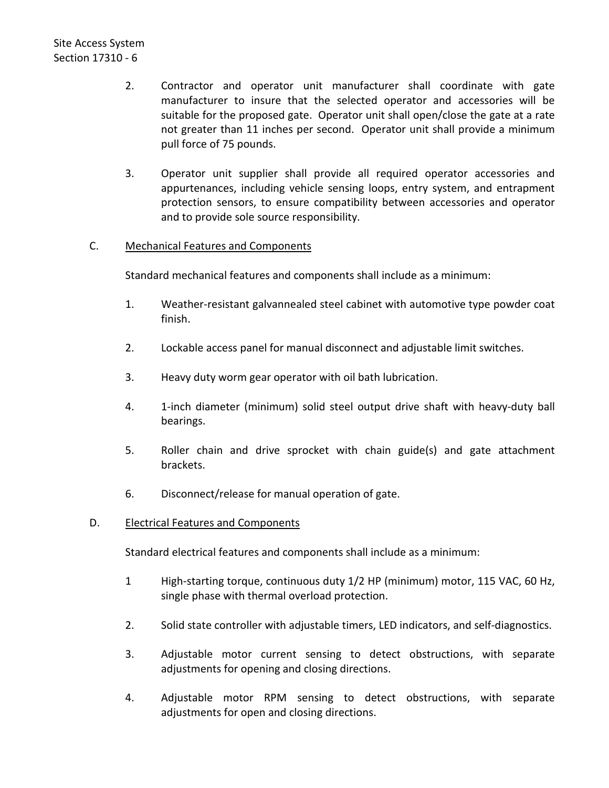- 2. Contractor and operator unit manufacturer shall coordinate with gate manufacturer to insure that the selected operator and accessories will be suitable for the proposed gate. Operator unit shall open/close the gate at a rate not greater than 11 inches per second. Operator unit shall provide a minimum pull force of 75 pounds.
- 3. Operator unit supplier shall provide all required operator accessories and appurtenances, including vehicle sensing loops, entry system, and entrapment protection sensors, to ensure compatibility between accessories and operator and to provide sole source responsibility.

# C. Mechanical Features and Components

Standard mechanical features and components shall include as a minimum:

- 1. Weather-resistant galvannealed steel cabinet with automotive type powder coat finish.
- 2. Lockable access panel for manual disconnect and adjustable limit switches.
- 3. Heavy duty worm gear operator with oil bath lubrication.
- 4. 1-inch diameter (minimum) solid steel output drive shaft with heavy-duty ball bearings.
- 5. Roller chain and drive sprocket with chain guide(s) and gate attachment brackets.
- 6. Disconnect/release for manual operation of gate.

# D. Electrical Features and Components

Standard electrical features and components shall include as a minimum:

- 1 High-starting torque, continuous duty 1/2 HP (minimum) motor, 115 VAC, 60 Hz, single phase with thermal overload protection.
- 2. Solid state controller with adjustable timers, LED indicators, and self-diagnostics.
- 3. Adjustable motor current sensing to detect obstructions, with separate adjustments for opening and closing directions.
- 4. Adjustable motor RPM sensing to detect obstructions, with separate adjustments for open and closing directions.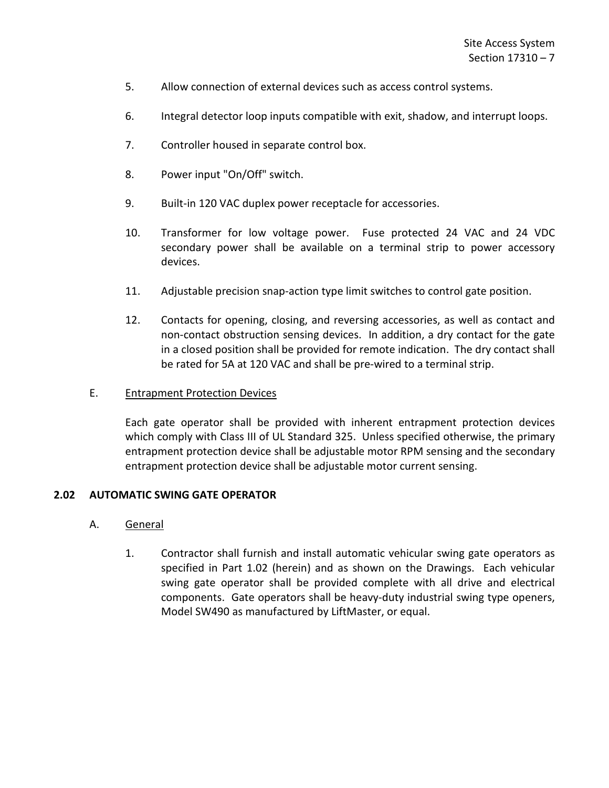- 5. Allow connection of external devices such as access control systems.
- 6. Integral detector loop inputs compatible with exit, shadow, and interrupt loops.
- 7. Controller housed in separate control box.
- 8. Power input "On/Off" switch.
- 9. Built-in 120 VAC duplex power receptacle for accessories.
- 10. Transformer for low voltage power. Fuse protected 24 VAC and 24 VDC secondary power shall be available on a terminal strip to power accessory devices.
- 11. Adjustable precision snap-action type limit switches to control gate position.
- 12. Contacts for opening, closing, and reversing accessories, as well as contact and non-contact obstruction sensing devices. In addition, a dry contact for the gate in a closed position shall be provided for remote indication. The dry contact shall be rated for 5A at 120 VAC and shall be pre-wired to a terminal strip.

#### E. Entrapment Protection Devices

Each gate operator shall be provided with inherent entrapment protection devices which comply with Class III of UL Standard 325. Unless specified otherwise, the primary entrapment protection device shall be adjustable motor RPM sensing and the secondary entrapment protection device shall be adjustable motor current sensing.

#### <span id="page-8-0"></span>**2.02 AUTOMATIC SWING GATE OPERATOR**

### A. General

1. Contractor shall furnish and install automatic vehicular swing gate operators as specified in Part 1.02 (herein) and as shown on the Drawings. Each vehicular swing gate operator shall be provided complete with all drive and electrical components. Gate operators shall be heavy-duty industrial swing type openers, Model SW490 as manufactured by LiftMaster, or equal.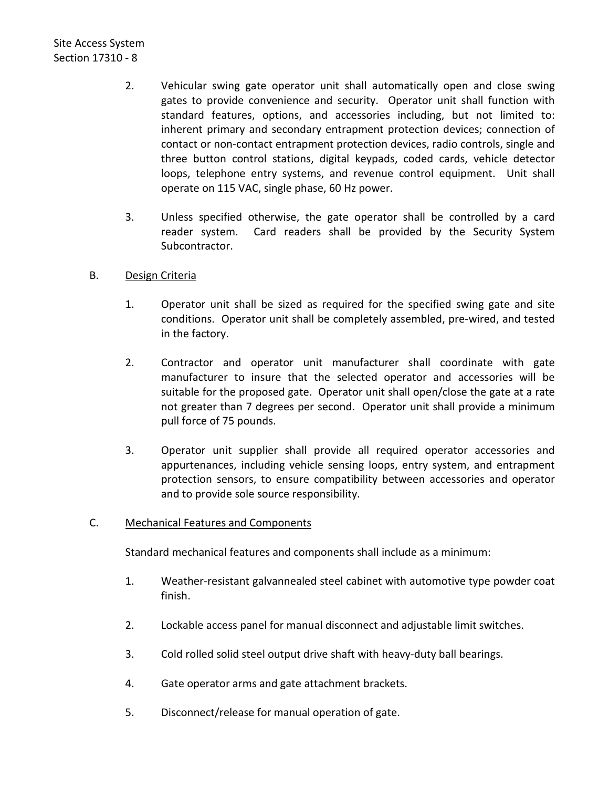- 2. Vehicular swing gate operator unit shall automatically open and close swing gates to provide convenience and security. Operator unit shall function with standard features, options, and accessories including, but not limited to: inherent primary and secondary entrapment protection devices; connection of contact or non-contact entrapment protection devices, radio controls, single and three button control stations, digital keypads, coded cards, vehicle detector loops, telephone entry systems, and revenue control equipment. Unit shall operate on 115 VAC, single phase, 60 Hz power.
- 3. Unless specified otherwise, the gate operator shall be controlled by a card reader system. Card readers shall be provided by the Security System Subcontractor.
- B. Design Criteria
	- 1. Operator unit shall be sized as required for the specified swing gate and site conditions. Operator unit shall be completely assembled, pre-wired, and tested in the factory.
	- 2. Contractor and operator unit manufacturer shall coordinate with gate manufacturer to insure that the selected operator and accessories will be suitable for the proposed gate. Operator unit shall open/close the gate at a rate not greater than 7 degrees per second. Operator unit shall provide a minimum pull force of 75 pounds.
	- 3. Operator unit supplier shall provide all required operator accessories and appurtenances, including vehicle sensing loops, entry system, and entrapment protection sensors, to ensure compatibility between accessories and operator and to provide sole source responsibility.

# C. Mechanical Features and Components

Standard mechanical features and components shall include as a minimum:

- 1. Weather-resistant galvannealed steel cabinet with automotive type powder coat finish.
- 2. Lockable access panel for manual disconnect and adjustable limit switches.
- 3. Cold rolled solid steel output drive shaft with heavy-duty ball bearings.
- 4. Gate operator arms and gate attachment brackets.
- 5. Disconnect/release for manual operation of gate.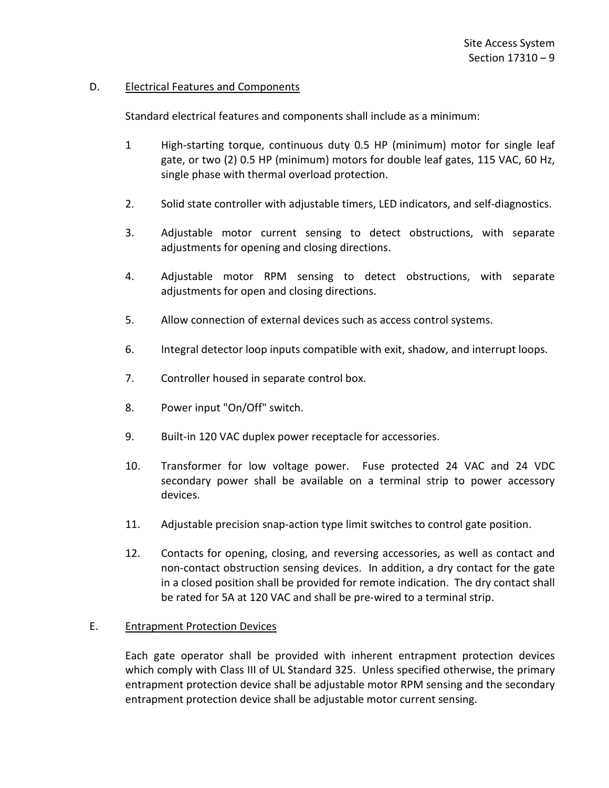### D. Electrical Features and Components

Standard electrical features and components shall include as a minimum:

- 1 High-starting torque, continuous duty 0.5 HP (minimum) motor for single leaf gate, or two (2) 0.5 HP (minimum) motors for double leaf gates, 115 VAC, 60 Hz, single phase with thermal overload protection.
- 2. Solid state controller with adjustable timers, LED indicators, and self-diagnostics.
- 3. Adjustable motor current sensing to detect obstructions, with separate adjustments for opening and closing directions.
- 4. Adjustable motor RPM sensing to detect obstructions, with separate adjustments for open and closing directions.
- 5. Allow connection of external devices such as access control systems.
- 6. Integral detector loop inputs compatible with exit, shadow, and interrupt loops.
- 7. Controller housed in separate control box.
- 8. Power input "On/Off" switch.
- 9. Built-in 120 VAC duplex power receptacle for accessories.
- 10. Transformer for low voltage power. Fuse protected 24 VAC and 24 VDC secondary power shall be available on a terminal strip to power accessory devices.
- 11. Adjustable precision snap-action type limit switches to control gate position.
- 12. Contacts for opening, closing, and reversing accessories, as well as contact and non-contact obstruction sensing devices. In addition, a dry contact for the gate in a closed position shall be provided for remote indication. The dry contact shall be rated for 5A at 120 VAC and shall be pre-wired to a terminal strip.

#### E. Entrapment Protection Devices

Each gate operator shall be provided with inherent entrapment protection devices which comply with Class III of UL Standard 325. Unless specified otherwise, the primary entrapment protection device shall be adjustable motor RPM sensing and the secondary entrapment protection device shall be adjustable motor current sensing.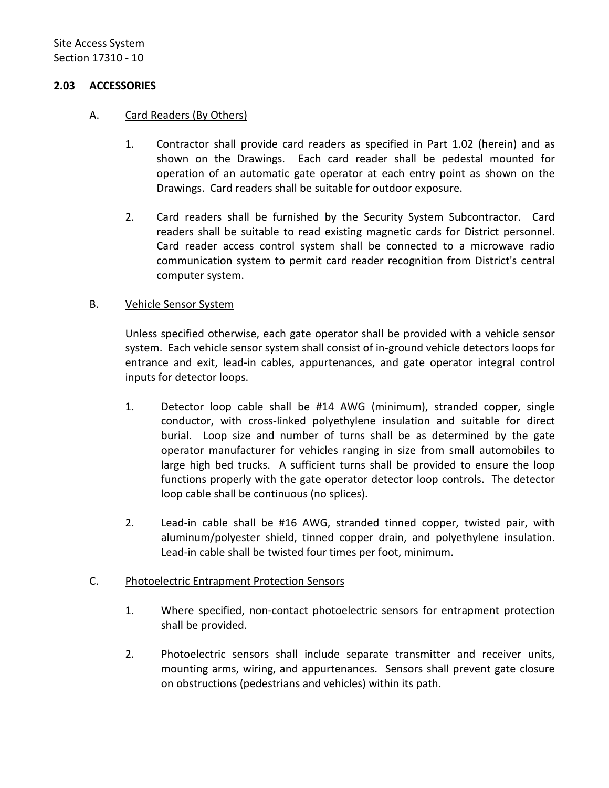### <span id="page-11-0"></span>**2.03 ACCESSORIES**

# A. Card Readers (By Others)

- 1. Contractor shall provide card readers as specified in Part 1.02 (herein) and as shown on the Drawings. Each card reader shall be pedestal mounted for operation of an automatic gate operator at each entry point as shown on the Drawings. Card readers shall be suitable for outdoor exposure.
- 2. Card readers shall be furnished by the Security System Subcontractor. Card readers shall be suitable to read existing magnetic cards for District personnel. Card reader access control system shall be connected to a microwave radio communication system to permit card reader recognition from District's central computer system.

### B. Vehicle Sensor System

Unless specified otherwise, each gate operator shall be provided with a vehicle sensor system. Each vehicle sensor system shall consist of in-ground vehicle detectors loops for entrance and exit, lead-in cables, appurtenances, and gate operator integral control inputs for detector loops.

- 1. Detector loop cable shall be #14 AWG (minimum), stranded copper, single conductor, with cross-linked polyethylene insulation and suitable for direct burial. Loop size and number of turns shall be as determined by the gate operator manufacturer for vehicles ranging in size from small automobiles to large high bed trucks. A sufficient turns shall be provided to ensure the loop functions properly with the gate operator detector loop controls. The detector loop cable shall be continuous (no splices).
- 2. Lead-in cable shall be #16 AWG, stranded tinned copper, twisted pair, with aluminum/polyester shield, tinned copper drain, and polyethylene insulation. Lead-in cable shall be twisted four times per foot, minimum.

# C. Photoelectric Entrapment Protection Sensors

- 1. Where specified, non-contact photoelectric sensors for entrapment protection shall be provided.
- 2. Photoelectric sensors shall include separate transmitter and receiver units, mounting arms, wiring, and appurtenances. Sensors shall prevent gate closure on obstructions (pedestrians and vehicles) within its path.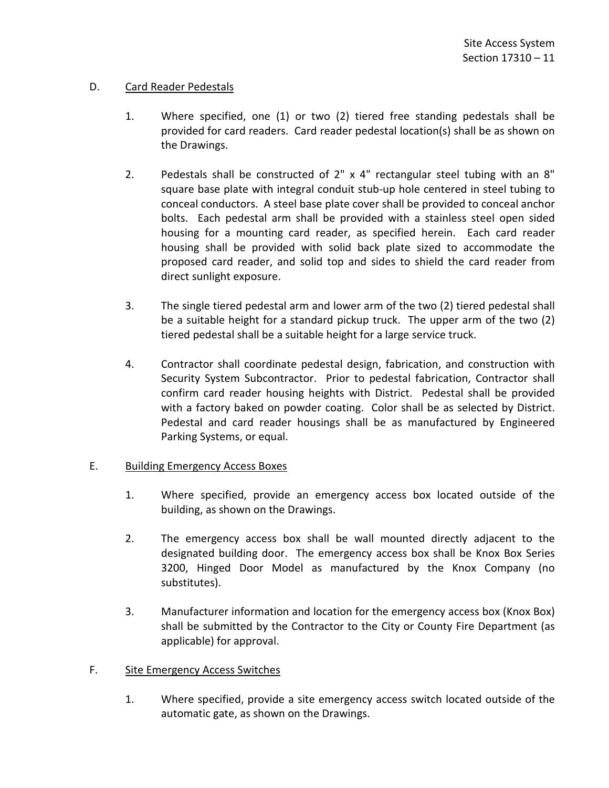# D. Card Reader Pedestals

- 1. Where specified, one (1) or two (2) tiered free standing pedestals shall be provided for card readers. Card reader pedestal location(s) shall be as shown on the Drawings.
- 2. Pedestals shall be constructed of 2" x 4" rectangular steel tubing with an 8" square base plate with integral conduit stub-up hole centered in steel tubing to conceal conductors. A steel base plate cover shall be provided to conceal anchor bolts. Each pedestal arm shall be provided with a stainless steel open sided housing for a mounting card reader, as specified herein. Each card reader housing shall be provided with solid back plate sized to accommodate the proposed card reader, and solid top and sides to shield the card reader from direct sunlight exposure.
- 3. The single tiered pedestal arm and lower arm of the two (2) tiered pedestal shall be a suitable height for a standard pickup truck. The upper arm of the two (2) tiered pedestal shall be a suitable height for a large service truck.
- 4. Contractor shall coordinate pedestal design, fabrication, and construction with Security System Subcontractor. Prior to pedestal fabrication, Contractor shall confirm card reader housing heights with District. Pedestal shall be provided with a factory baked on powder coating. Color shall be as selected by District. Pedestal and card reader housings shall be as manufactured by Engineered Parking Systems, or equal.

# E. Building Emergency Access Boxes

- 1. Where specified, provide an emergency access box located outside of the building, as shown on the Drawings.
- 2. The emergency access box shall be wall mounted directly adjacent to the designated building door. The emergency access box shall be Knox Box Series 3200, Hinged Door Model as manufactured by the Knox Company (no substitutes).
- 3. Manufacturer information and location for the emergency access box (Knox Box) shall be submitted by the Contractor to the City or County Fire Department (as applicable) for approval.

# F. Site Emergency Access Switches

1. Where specified, provide a site emergency access switch located outside of the automatic gate, as shown on the Drawings.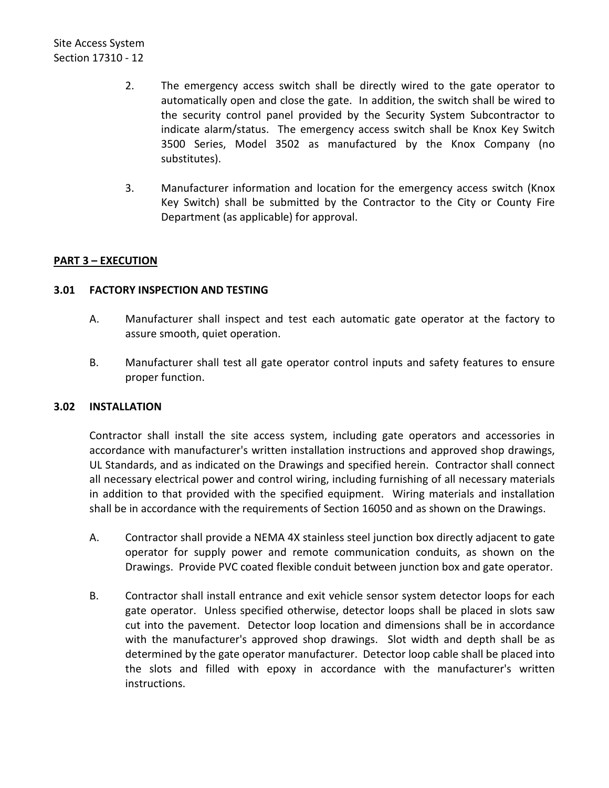- 2. The emergency access switch shall be directly wired to the gate operator to automatically open and close the gate. In addition, the switch shall be wired to the security control panel provided by the Security System Subcontractor to indicate alarm/status. The emergency access switch shall be Knox Key Switch 3500 Series, Model 3502 as manufactured by the Knox Company (no substitutes).
- 3. Manufacturer information and location for the emergency access switch (Knox Key Switch) shall be submitted by the Contractor to the City or County Fire Department (as applicable) for approval.

# <span id="page-13-0"></span>**PART 3 – EXECUTION**

# <span id="page-13-1"></span>**3.01 FACTORY INSPECTION AND TESTING**

- A. Manufacturer shall inspect and test each automatic gate operator at the factory to assure smooth, quiet operation.
- B. Manufacturer shall test all gate operator control inputs and safety features to ensure proper function.

# <span id="page-13-2"></span>**3.02 INSTALLATION**

Contractor shall install the site access system, including gate operators and accessories in accordance with manufacturer's written installation instructions and approved shop drawings, UL Standards, and as indicated on the Drawings and specified herein. Contractor shall connect all necessary electrical power and control wiring, including furnishing of all necessary materials in addition to that provided with the specified equipment. Wiring materials and installation shall be in accordance with the requirements of Section 16050 and as shown on the Drawings.

- A. Contractor shall provide a NEMA 4X stainless steel junction box directly adjacent to gate operator for supply power and remote communication conduits, as shown on the Drawings. Provide PVC coated flexible conduit between junction box and gate operator.
- B. Contractor shall install entrance and exit vehicle sensor system detector loops for each gate operator. Unless specified otherwise, detector loops shall be placed in slots saw cut into the pavement. Detector loop location and dimensions shall be in accordance with the manufacturer's approved shop drawings. Slot width and depth shall be as determined by the gate operator manufacturer. Detector loop cable shall be placed into the slots and filled with epoxy in accordance with the manufacturer's written instructions.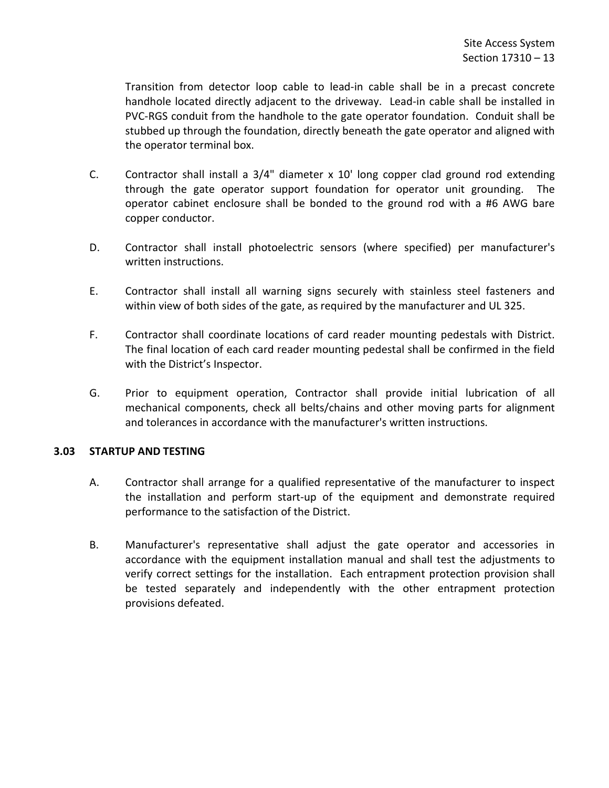Transition from detector loop cable to lead-in cable shall be in a precast concrete handhole located directly adjacent to the driveway. Lead-in cable shall be installed in PVC-RGS conduit from the handhole to the gate operator foundation. Conduit shall be stubbed up through the foundation, directly beneath the gate operator and aligned with the operator terminal box.

- C. Contractor shall install a 3/4" diameter x 10' long copper clad ground rod extending through the gate operator support foundation for operator unit grounding. The operator cabinet enclosure shall be bonded to the ground rod with a #6 AWG bare copper conductor.
- D. Contractor shall install photoelectric sensors (where specified) per manufacturer's written instructions.
- E. Contractor shall install all warning signs securely with stainless steel fasteners and within view of both sides of the gate, as required by the manufacturer and UL 325.
- F. Contractor shall coordinate locations of card reader mounting pedestals with District. The final location of each card reader mounting pedestal shall be confirmed in the field with the District's Inspector.
- G. Prior to equipment operation, Contractor shall provide initial lubrication of all mechanical components, check all belts/chains and other moving parts for alignment and tolerances in accordance with the manufacturer's written instructions.

# <span id="page-14-0"></span>**3.03 STARTUP AND TESTING**

- A. Contractor shall arrange for a qualified representative of the manufacturer to inspect the installation and perform start-up of the equipment and demonstrate required performance to the satisfaction of the District.
- B. Manufacturer's representative shall adjust the gate operator and accessories in accordance with the equipment installation manual and shall test the adjustments to verify correct settings for the installation. Each entrapment protection provision shall be tested separately and independently with the other entrapment protection provisions defeated.